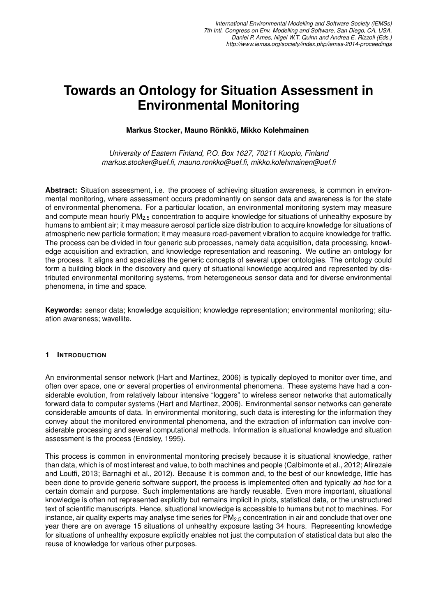# **Towards an Ontology for Situation Assessment in Environmental Monitoring**

## **Markus Stocker, Mauno Ronkk ¨ o, Mikko Kolehmainen ¨**

*University of Eastern Finland, P.O. Box 1627, 70211 Kuopio, Finland markus.stocker@uef.fi, mauno.ronkko@uef.fi, mikko.kolehmainen@uef.fi*

**Abstract:** Situation assessment, i.e. the process of achieving situation awareness, is common in environmental monitoring, where assessment occurs predominantly on sensor data and awareness is for the state of environmental phenomena. For a particular location, an environmental monitoring system may measure and compute mean hourly  $PM<sub>2.5</sub>$  concentration to acquire knowledge for situations of unhealthy exposure by humans to ambient air; it may measure aerosol particle size distribution to acquire knowledge for situations of atmospheric new particle formation; it may measure road-pavement vibration to acquire knowledge for traffic. The process can be divided in four generic sub processes, namely data acquisition, data processing, knowledge acquisition and extraction, and knowledge representation and reasoning. We outline an ontology for the process. It aligns and specializes the generic concepts of several upper ontologies. The ontology could form a building block in the discovery and query of situational knowledge acquired and represented by distributed environmental monitoring systems, from heterogeneous sensor data and for diverse environmental phenomena, in time and space.

**Keywords:** sensor data; knowledge acquisition; knowledge representation; environmental monitoring; situation awareness; wavellite.

### **1 INTRODUCTION**

An environmental sensor network (Hart and Martinez, 2006) is typically deployed to monitor over time, and often over space, one or several properties of environmental phenomena. These systems have had a considerable evolution, from relatively labour intensive "loggers" to wireless sensor networks that automatically forward data to computer systems (Hart and Martinez, 2006). Environmental sensor networks can generate considerable amounts of data. In environmental monitoring, such data is interesting for the information they convey about the monitored environmental phenomena, and the extraction of information can involve considerable processing and several computational methods. Information is situational knowledge and situation assessment is the process (Endsley, 1995).

This process is common in environmental monitoring precisely because it is situational knowledge, rather than data, which is of most interest and value, to both machines and people (Calbimonte et al., 2012; Alirezaie and Loutfi, 2013; Barnaghi et al., 2012). Because it is common and, to the best of our knowledge, little has been done to provide generic software support, the process is implemented often and typically *ad hoc* for a certain domain and purpose. Such implementations are hardly reusable. Even more important, situational knowledge is often not represented explicitly but remains implicit in plots, statistical data, or the unstructured text of scientific manuscripts. Hence, situational knowledge is accessible to humans but not to machines. For instance, air quality experts may analyse time series for  $PM_{2.5}$  concentration in air and conclude that over one year there are on average 15 situations of unhealthy exposure lasting 34 hours. Representing knowledge for situations of unhealthy exposure explicitly enables not just the computation of statistical data but also the reuse of knowledge for various other purposes.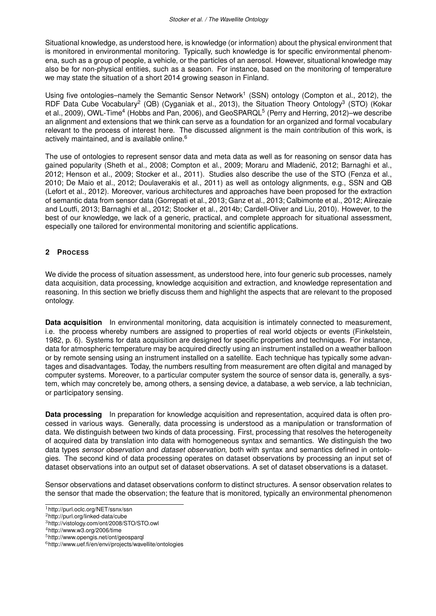Situational knowledge, as understood here, is knowledge (or information) about the physical environment that is monitored in environmental monitoring. Typically, such knowledge is for specific environmental phenomena, such as a group of people, a vehicle, or the particles of an aerosol. However, situational knowledge may also be for non-physical entities, such as a season. For instance, based on the monitoring of temperature we may state the situation of a short 2014 growing season in Finland.

Using five ontologies–namely the Semantic Sensor Network<sup>1</sup> (SSN) ontology (Compton et al., 2012), the RDF Data Cube Vocabulary<sup>2</sup> (QB) (Cyganiak et al., 2013), the Situation Theory Ontology<sup>3</sup> (STO) (Kokar et al., 2009), OWL-Time<sup>4</sup> (Hobbs and Pan, 2006), and GeoSPARQL<sup>5</sup> (Perry and Herring, 2012)–we describe an alignment and extensions that we think can serve as a foundation for an organized and formal vocabulary relevant to the process of interest here. The discussed alignment is the main contribution of this work, is actively maintained, and is available online.<sup>6</sup>

The use of ontologies to represent sensor data and meta data as well as for reasoning on sensor data has gained popularity (Sheth et al., 2008; Compton et al., 2009; Moraru and Mladenic, 2012; Barnaghi et al., ´ 2012; Henson et al., 2009; Stocker et al., 2011). Studies also describe the use of the STO (Fenza et al., 2010; De Maio et al., 2012; Doulaverakis et al., 2011) as well as ontology alignments, e.g., SSN and QB (Lefort et al., 2012). Moreover, various architectures and approaches have been proposed for the extraction of semantic data from sensor data (Gorrepati et al., 2013; Ganz et al., 2013; Calbimonte et al., 2012; Alirezaie and Loutfi, 2013; Barnaghi et al., 2012; Stocker et al., 2014b; Cardell-Oliver and Liu, 2010). However, to the best of our knowledge, we lack of a generic, practical, and complete approach for situational assessment, especially one tailored for environmental monitoring and scientific applications.

### **2 PROCESS**

We divide the process of situation assessment, as understood here, into four generic sub processes, namely data acquisition, data processing, knowledge acquisition and extraction, and knowledge representation and reasoning. In this section we briefly discuss them and highlight the aspects that are relevant to the proposed ontology.

**Data acquisition** In environmental monitoring, data acquisition is intimately connected to measurement, i.e. the process whereby numbers are assigned to properties of real world objects or events (Finkelstein, 1982, p. 6). Systems for data acquisition are designed for specific properties and techniques. For instance, data for atmospheric temperature may be acquired directly using an instrument installed on a weather balloon or by remote sensing using an instrument installed on a satellite. Each technique has typically some advantages and disadvantages. Today, the numbers resulting from measurement are often digital and managed by computer systems. Moreover, to a particular computer system the source of sensor data is, generally, a system, which may concretely be, among others, a sensing device, a database, a web service, a lab technician, or participatory sensing.

**Data processing** In preparation for knowledge acquisition and representation, acquired data is often processed in various ways. Generally, data processing is understood as a manipulation or transformation of data. We distinguish between two kinds of data processing. First, processing that resolves the heterogeneity of acquired data by translation into data with homogeneous syntax and semantics. We distinguish the two data types *sensor observation* and *dataset observation*, both with syntax and semantics defined in ontologies. The second kind of data processing operates on dataset observations by processing an input set of dataset observations into an output set of dataset observations. A set of dataset observations is a dataset.

Sensor observations and dataset observations conform to distinct structures. A sensor observation relates to the sensor that made the observation; the feature that is monitored, typically an environmental phenomenon

<sup>1</sup>http://purl.oclc.org/NET/ssnx/ssn

<sup>2</sup>http://purl.org/linked-data/cube

<sup>3</sup>http://vistology.com/ont/2008/STO/STO.owl

<sup>4</sup>http://www.w3.org/2006/time

<sup>5</sup>http://www.opengis.net/ont/geosparql

<sup>6</sup>http://www.uef.fi/en/envi/projects/wavellite/ontologies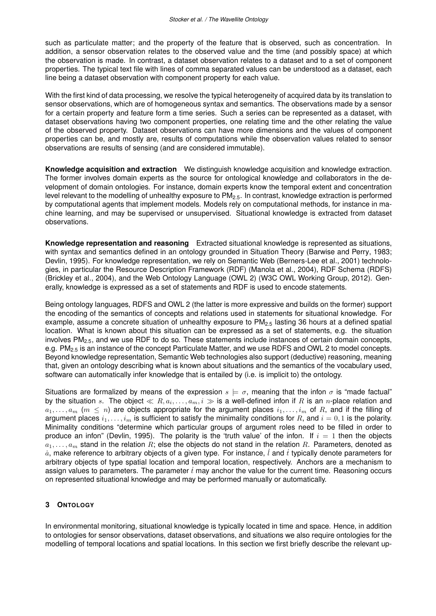such as particulate matter; and the property of the feature that is observed, such as concentration. In addition, a sensor observation relates to the observed value and the time (and possibly space) at which the observation is made. In contrast, a dataset observation relates to a dataset and to a set of component properties. The typical text file with lines of comma separated values can be understood as a dataset, each line being a dataset observation with component property for each value.

With the first kind of data processing, we resolve the typical heterogeneity of acquired data by its translation to sensor observations, which are of homogeneous syntax and semantics. The observations made by a sensor for a certain property and feature form a time series. Such a series can be represented as a dataset, with dataset observations having two component properties, one relating time and the other relating the value of the observed property. Dataset observations can have more dimensions and the values of component properties can be, and mostly are, results of computations while the observation values related to sensor observations are results of sensing (and are considered immutable).

**Knowledge acquisition and extraction** We distinguish knowledge acquisition and knowledge extraction. The former involves domain experts as the source for ontological knowledge and collaborators in the development of domain ontologies. For instance, domain experts know the temporal extent and concentration level relevant to the modelling of unhealthy exposure to PM<sub>2.5</sub>. In contrast, knowledge extraction is performed by computational agents that implement models. Models rely on computational methods, for instance in machine learning, and may be supervised or unsupervised. Situational knowledge is extracted from dataset observations.

**Knowledge representation and reasoning** Extracted situational knowledge is represented as situations, with syntax and semantics defined in an ontology grounded in Situation Theory (Barwise and Perry, 1983; Devlin, 1995). For knowledge representation, we rely on Semantic Web (Berners-Lee et al., 2001) technologies, in particular the Resource Description Framework (RDF) (Manola et al., 2004), RDF Schema (RDFS) (Brickley et al., 2004), and the Web Ontology Language (OWL 2) (W3C OWL Working Group, 2012). Generally, knowledge is expressed as a set of statements and RDF is used to encode statements.

Being ontology languages, RDFS and OWL 2 (the latter is more expressive and builds on the former) support the encoding of the semantics of concepts and relations used in statements for situational knowledge. For example, assume a concrete situation of unhealthy exposure to  $PM_{2.5}$  lasting 36 hours at a defined spatial location. What is known about this situation can be expressed as a set of statements, e.g. the situation involves PM<sub>2.5</sub>, and we use RDF to do so. These statements include instances of certain domain concepts, e.g.  $PM_{2.5}$  is an instance of the concept Particulate Matter, and we use RDFS and OWL 2 to model concepts. Beyond knowledge representation, Semantic Web technologies also support (deductive) reasoning, meaning that, given an ontology describing what is known about situations and the semantics of the vocabulary used, software can automatically infer knowledge that is entailed by (i.e. is implicit to) the ontology.

Situations are formalized by means of the expression  $s \models \sigma$ , meaning that the infon  $\sigma$  is "made factual" by the situation  $s$ . The object  $\ll R, a_i, \ldots, a_m, i \gg$  is a well-defined infon if  $R$  is an  $n$ -place relation and  $a_1, \ldots, a_m$  ( $m \leq n$ ) are objects appropriate for the argument places  $i_1, \ldots, i_m$  of R, and if the filling of argument places  $i_1, \ldots, i_m$  is sufficient to satisfy the minimality conditions for R, and  $i = 0, 1$  is the polarity. Minimality conditions "determine which particular groups of argument roles need to be filled in order to produce an infon" (Devlin, 1995). The polarity is the 'truth value' of the infon. If  $i = 1$  then the objects  $a_1, \ldots, a_m$  stand in the relation R; else the objects do not stand in the relation R. Parameters, denoted as  $\dot{a}$ , make reference to arbitrary objects of a given type. For instance,  $\dot{l}$  and  $\dot{t}$  typically denote parameters for arbitrary objects of type spatial location and temporal location, respectively. Anchors are a mechanism to assign values to parameters. The parameter  $\dot{t}$  may anchor the value for the current time. Reasoning occurs on represented situational knowledge and may be performed manually or automatically.

### **3 ONTOLOGY**

In environmental monitoring, situational knowledge is typically located in time and space. Hence, in addition to ontologies for sensor observations, dataset observations, and situations we also require ontologies for the modelling of temporal locations and spatial locations. In this section we first briefly describe the relevant up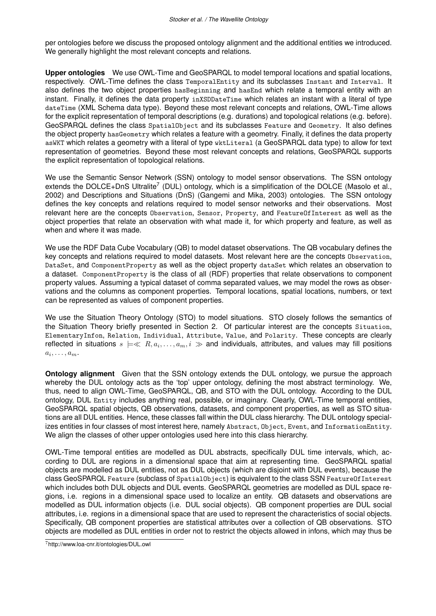per ontologies before we discuss the proposed ontology alignment and the additional entities we introduced. We generally highlight the most relevant concepts and relations.

**Upper ontologies** We use OWL-Time and GeoSPARQL to model temporal locations and spatial locations, respectively. OWL-Time defines the class TemporalEntity and its subclasses Instant and Interval. It also defines the two object properties hasBeginning and hasEnd which relate a temporal entity with an instant. Finally, it defines the data property inXSDDateTime which relates an instant with a literal of type dateTime (XML Schema data type). Beyond these most relevant concepts and relations, OWL-Time allows for the explicit representation of temporal descriptions (e.g. durations) and topological relations (e.g. before). GeoSPARQL defines the class SpatialObject and its subclasses Feature and Geometry. It also defines the object property hasGeometry which relates a feature with a geometry. Finally, it defines the data property asWKT which relates a geometry with a literal of type wktLiteral (a GeoSPARQL data type) to allow for text representation of geometries. Beyond these most relevant concepts and relations, GeoSPARQL supports the explicit representation of topological relations.

We use the Semantic Sensor Network (SSN) ontology to model sensor observations. The SSN ontology extends the DOLCE+DnS Ultralite<sup>7</sup> (DUL) ontology, which is a simplification of the DOLCE (Masolo et al., 2002) and Descriptions and Situations (DnS) (Gangemi and Mika, 2003) ontologies. The SSN ontology defines the key concepts and relations required to model sensor networks and their observations. Most relevant here are the concepts Observation, Sensor, Property, and FeatureOfInterest as well as the object properties that relate an observation with what made it, for which property and feature, as well as when and where it was made.

We use the RDF Data Cube Vocabulary (QB) to model dataset observations. The QB vocabulary defines the key concepts and relations required to model datasets. Most relevant here are the concepts Observation, DataSet, and ComponentProperty as well as the object property dataSet which relates an observation to a dataset. ComponentProperty is the class of all (RDF) properties that relate observations to component property values. Assuming a typical dataset of comma separated values, we may model the rows as observations and the columns as component properties. Temporal locations, spatial locations, numbers, or text can be represented as values of component properties.

We use the Situation Theory Ontology (STO) to model situations. STO closely follows the semantics of the Situation Theory briefly presented in Section 2. Of particular interest are the concepts Situation, ElementaryInfon, Relation, Individual, Attribute, Value, and Polarity. These concepts are clearly reflected in situations  $s\models\ll R, a_i,\ldots,a_m,i\gg$  and individuals, attributes, and values may fill positions  $a_i, \ldots, a_m$ .

**Ontology alignment** Given that the SSN ontology extends the DUL ontology, we pursue the approach whereby the DUL ontology acts as the 'top' upper ontology, defining the most abstract terminology. We, thus, need to align OWL-Time, GeoSPARQL, QB, and STO with the DUL ontology. According to the DUL ontology, DUL Entity includes anything real, possible, or imaginary. Clearly, OWL-Time temporal entities, GeoSPARQL spatial objects, QB observations, datasets, and component properties, as well as STO situations are all DUL entities. Hence, these classes fall within the DUL class hierarchy. The DUL ontology specializes entities in four classes of most interest here, namely Abstract, Object, Event, and InformationEntity. We align the classes of other upper ontologies used here into this class hierarchy.

OWL-Time temporal entities are modelled as DUL abstracts, specifically DUL time intervals, which, according to DUL are regions in a dimensional space that aim at representing time. GeoSPARQL spatial objects are modelled as DUL entities, not as DUL objects (which are disjoint with DUL events), because the class GeoSPARQL Feature (subclass of SpatialObject) is equivalent to the class SSN FeatureOfInterest which includes both DUL objects and DUL events. GeoSPARQL geometries are modelled as DUL space regions, i.e. regions in a dimensional space used to localize an entity. QB datasets and observations are modelled as DUL information objects (i.e. DUL social objects). QB component properties are DUL social attributes, i.e. regions in a dimensional space that are used to represent the characteristics of social objects. Specifically, QB component properties are statistical attributes over a collection of QB observations. STO objects are modelled as DUL entities in order not to restrict the objects allowed in infons, which may thus be

<sup>7</sup>http://www.loa-cnr.it/ontologies/DUL.owl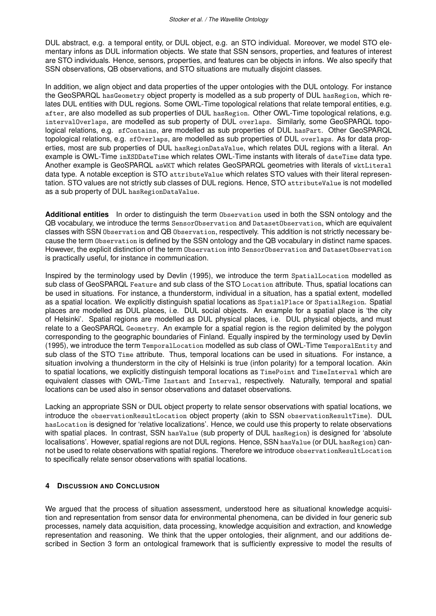DUL abstract, e.g. a temporal entity, or DUL object, e.g. an STO individual. Moreover, we model STO elementary infons as DUL information objects. We state that SSN sensors, properties, and features of interest are STO individuals. Hence, sensors, properties, and features can be objects in infons. We also specify that SSN observations, QB observations, and STO situations are mutually disjoint classes.

In addition, we align object and data properties of the upper ontologies with the DUL ontology. For instance the GeoSPARQL hasGeometry object property is modelled as a sub property of DUL hasRegion, which relates DUL entities with DUL regions. Some OWL-Time topological relations that relate temporal entities, e.g. after, are also modelled as sub properties of DUL hasRegion. Other OWL-Time topological relations, e.g. intervalOverlaps, are modelled as sub property of DUL overlaps. Similarly, some GeoSPARQL topological relations, e.g. sfContains, are modelled as sub properties of DUL hasPart. Other GeoSPARQL topological relations, e.g. sfOverlaps, are modelled as sub properties of DUL overlaps. As for data properties, most are sub properties of DUL hasRegionDataValue, which relates DUL regions with a literal. An example is OWL-Time inXSDDateTime which relates OWL-Time instants with literals of dateTime data type. Another example is GeoSPARQL asWKT which relates GeoSPARQL geometries with literals of wktLiteral data type. A notable exception is STO attributeValue which relates STO values with their literal representation. STO values are not strictly sub classes of DUL regions. Hence, STO attributeValue is not modelled as a sub property of DUL hasRegionDataValue.

**Additional entities** In order to distinguish the term Observation used in both the SSN ontology and the QB vocabulary, we introduce the terms SensorObservation and DatasetObservation, which are equivalent classes with SSN Observation and QB Observation, respectively. This addition is not strictly necessary because the term Observation is defined by the SSN ontology and the QB vocabulary in distinct name spaces. However, the explicit distinction of the term Observation into SensorObservation and DatasetObservation is practically useful, for instance in communication.

Inspired by the terminology used by Devlin (1995), we introduce the term SpatialLocation modelled as sub class of GeoSPARQL Feature and sub class of the STO Location attribute. Thus, spatial locations can be used in situations. For instance, a thunderstorm, individual in a situation, has a spatial extent, modelled as a spatial location. We explicitly distinguish spatial locations as SpatialPlace or SpatialRegion. Spatial places are modelled as DUL places, i.e. DUL social objects. An example for a spatial place is 'the city of Helsinki'. Spatial regions are modelled as DUL physical places, i.e. DUL physical objects, and must relate to a GeoSPARQL Geometry. An example for a spatial region is the region delimited by the polygon corresponding to the geographic boundaries of Finland. Equally inspired by the terminology used by Devlin (1995), we introduce the term TemporalLocation modelled as sub class of OWL-Time TemporalEntity and sub class of the STO Time attribute. Thus, temporal locations can be used in situations. For instance, a situation involving a thunderstorm in the city of Helsinki is true (infon polarity) for a temporal location. Akin to spatial locations, we explicitly distinguish temporal locations as TimePoint and TimeInterval which are equivalent classes with OWL-Time Instant and Interval, respectively. Naturally, temporal and spatial locations can be used also in sensor observations and dataset observations.

Lacking an appropriate SSN or DUL object property to relate sensor observations with spatial locations, we introduce the observationResultLocation object property (akin to SSN observationResultTime). DUL hasLocation is designed for 'relative localizations'. Hence, we could use this property to relate observations with spatial places. In contrast, SSN hasValue (sub property of DUL hasRegion) is designed for 'absolute localisations'. However, spatial regions are not DUL regions. Hence, SSN hasValue (or DUL hasRegion) cannot be used to relate observations with spatial regions. Therefore we introduce observationResultLocation to specifically relate sensor observations with spatial locations.

### **4 DISCUSSION AND CONCLUSION**

We argued that the process of situation assessment, understood here as situational knowledge acquisition and representation from sensor data for environmental phenomena, can be divided in four generic sub processes, namely data acquisition, data processing, knowledge acquisition and extraction, and knowledge representation and reasoning. We think that the upper ontologies, their alignment, and our additions described in Section 3 form an ontological framework that is sufficiently expressive to model the results of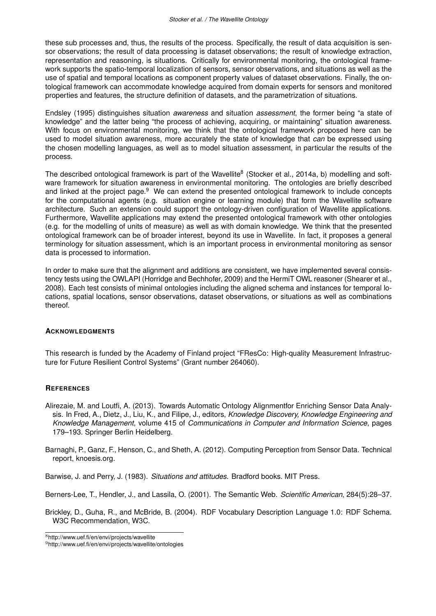these sub processes and, thus, the results of the process. Specifically, the result of data acquisition is sensor observations; the result of data processing is dataset observations; the result of knowledge extraction, representation and reasoning, is situations. Critically for environmental monitoring, the ontological framework supports the spatio-temporal localization of sensors, sensor observations, and situations as well as the use of spatial and temporal locations as component property values of dataset observations. Finally, the ontological framework can accommodate knowledge acquired from domain experts for sensors and monitored properties and features, the structure definition of datasets, and the parametrization of situations.

Endsley (1995) distinguishes situation *awareness* and situation *assessment*, the former being "a state of knowledge" and the latter being "the process of achieving, acquiring, or maintaining" situation awareness. With focus on environmental monitoring, we think that the ontological framework proposed here can be used to model situation awareness, more accurately the state of knowledge that *can* be expressed using the chosen modelling languages, as well as to model situation assessment, in particular the results of the process.

The described ontological framework is part of the Wavellite<sup>8</sup> (Stocker et al., 2014a, b) modelling and software framework for situation awareness in environmental monitoring. The ontologies are briefly described and linked at the project page.<sup>9</sup> We can extend the presented ontological framework to include concepts for the computational agents (e.g. situation engine or learning module) that form the Wavellite software architecture. Such an extension could support the ontology-driven configuration of Wavellite applications. Furthermore, Wavellite applications may extend the presented ontological framework with other ontologies (e.g. for the modelling of units of measure) as well as with domain knowledge. We think that the presented ontological framework can be of broader interest, beyond its use in Wavellite. In fact, it proposes a general terminology for situation assessment, which is an important process in environmental monitoring as sensor data is processed to information.

In order to make sure that the alignment and additions are consistent, we have implemented several consistency tests using the OWLAPI (Horridge and Bechhofer, 2009) and the HermiT OWL reasoner (Shearer et al., 2008). Each test consists of minimal ontologies including the aligned schema and instances for temporal locations, spatial locations, sensor observations, dataset observations, or situations as well as combinations thereof.

### **ACKNOWLEDGMENTS**

This research is funded by the Academy of Finland project "FResCo: High-quality Measurement Infrastructure for Future Resilient Control Systems" (Grant number 264060).

### **REFERENCES**

- Alirezaie, M. and Loutfi, A. (2013). Towards Automatic Ontology Alignmentfor Enriching Sensor Data Analysis. In Fred, A., Dietz, J., Liu, K., and Filipe, J., editors, *Knowledge Discovery, Knowledge Engineering and Knowledge Management*, volume 415 of *Communications in Computer and Information Science*, pages 179–193. Springer Berlin Heidelberg.
- Barnaghi, P., Ganz, F., Henson, C., and Sheth, A. (2012). Computing Perception from Sensor Data. Technical report, knoesis.org.

Barwise, J. and Perry, J. (1983). *Situations and attitudes*. Bradford books. MIT Press.

- Berners-Lee, T., Hendler, J., and Lassila, O. (2001). The Semantic Web. *Scientific American*, 284(5):28–37.
- Brickley, D., Guha, R., and McBride, B. (2004). RDF Vocabulary Description Language 1.0: RDF Schema. W3C Recommendation, W3C.

<sup>8</sup>http://www.uef.fi/en/envi/projects/wavellite

<sup>9</sup>http://www.uef.fi/en/envi/projects/wavellite/ontologies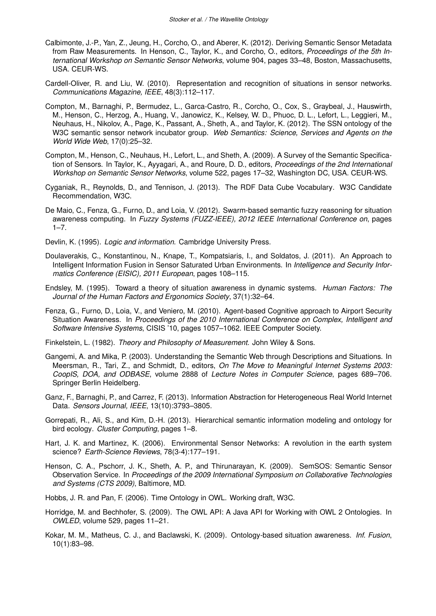- Calbimonte, J.-P., Yan, Z., Jeung, H., Corcho, O., and Aberer, K. (2012). Deriving Semantic Sensor Metadata from Raw Measurements. In Henson, C., Taylor, K., and Corcho, O., editors, *Proceedings of the 5th International Workshop on Semantic Sensor Networks*, volume 904, pages 33–48, Boston, Massachusetts, USA. CEUR-WS.
- Cardell-Oliver, R. and Liu, W. (2010). Representation and recognition of situations in sensor networks. *Communications Magazine, IEEE*, 48(3):112–117.
- Compton, M., Barnaghi, P., Bermudez, L., Garca-Castro, R., Corcho, O., Cox, S., Graybeal, J., Hauswirth, M., Henson, C., Herzog, A., Huang, V., Janowicz, K., Kelsey, W. D., Phuoc, D. L., Lefort, L., Leggieri, M., Neuhaus, H., Nikolov, A., Page, K., Passant, A., Sheth, A., and Taylor, K. (2012). The SSN ontology of the W3C semantic sensor network incubator group. *Web Semantics: Science, Services and Agents on the World Wide Web*, 17(0):25–32.
- Compton, M., Henson, C., Neuhaus, H., Lefort, L., and Sheth, A. (2009). A Survey of the Semantic Specification of Sensors. In Taylor, K., Ayyagari, A., and Roure, D. D., editors, *Proceedings of the 2nd International Workshop on Semantic Sensor Networks*, volume 522, pages 17–32, Washington DC, USA. CEUR-WS.
- Cyganiak, R., Reynolds, D., and Tennison, J. (2013). The RDF Data Cube Vocabulary. W3C Candidate Recommendation, W3C.
- De Maio, C., Fenza, G., Furno, D., and Loia, V. (2012). Swarm-based semantic fuzzy reasoning for situation awareness computing. In *Fuzzy Systems (FUZZ-IEEE), 2012 IEEE International Conference on*, pages  $1 - 7$ .
- Devlin, K. (1995). *Logic and information*. Cambridge University Press.
- Doulaverakis, C., Konstantinou, N., Knape, T., Kompatsiaris, I., and Soldatos, J. (2011). An Approach to Intelligent Information Fusion in Sensor Saturated Urban Environments. In *Intelligence and Security Informatics Conference (EISIC), 2011 European*, pages 108–115.
- Endsley, M. (1995). Toward a theory of situation awareness in dynamic systems. *Human Factors: The Journal of the Human Factors and Ergonomics Society*, 37(1):32–64.
- Fenza, G., Furno, D., Loia, V., and Veniero, M. (2010). Agent-based Cognitive approach to Airport Security Situation Awareness. In *Proceedings of the 2010 International Conference on Complex, Intelligent and Software Intensive Systems*, CISIS '10, pages 1057–1062. IEEE Computer Society.
- Finkelstein, L. (1982). *Theory and Philosophy of Measurement*. John Wiley & Sons.
- Gangemi, A. and Mika, P. (2003). Understanding the Semantic Web through Descriptions and Situations. In Meersman, R., Tari, Z., and Schmidt, D., editors, *On The Move to Meaningful Internet Systems 2003: CoopIS, DOA, and ODBASE*, volume 2888 of *Lecture Notes in Computer Science*, pages 689–706. Springer Berlin Heidelberg.
- Ganz, F., Barnaghi, P., and Carrez, F. (2013). Information Abstraction for Heterogeneous Real World Internet Data. *Sensors Journal, IEEE*, 13(10):3793–3805.
- Gorrepati, R., Ali, S., and Kim, D.-H. (2013). Hierarchical semantic information modeling and ontology for bird ecology. *Cluster Computing*, pages 1–8.
- Hart, J. K. and Martinez, K. (2006). Environmental Sensor Networks: A revolution in the earth system science? *Earth-Science Reviews*, 78(3-4):177–191.
- Henson, C. A., Pschorr, J. K., Sheth, A. P., and Thirunarayan, K. (2009). SemSOS: Semantic Sensor Observation Service. In *Proceedings of the 2009 International Symposium on Collaborative Technologies and Systems (CTS 2009)*, Baltimore, MD.
- Hobbs, J. R. and Pan, F. (2006). Time Ontology in OWL. Working draft, W3C.
- Horridge, M. and Bechhofer, S. (2009). The OWL API: A Java API for Working with OWL 2 Ontologies. In *OWLED*, volume 529, pages 11–21.
- Kokar, M. M., Matheus, C. J., and Baclawski, K. (2009). Ontology-based situation awareness. *Inf. Fusion*, 10(1):83–98.